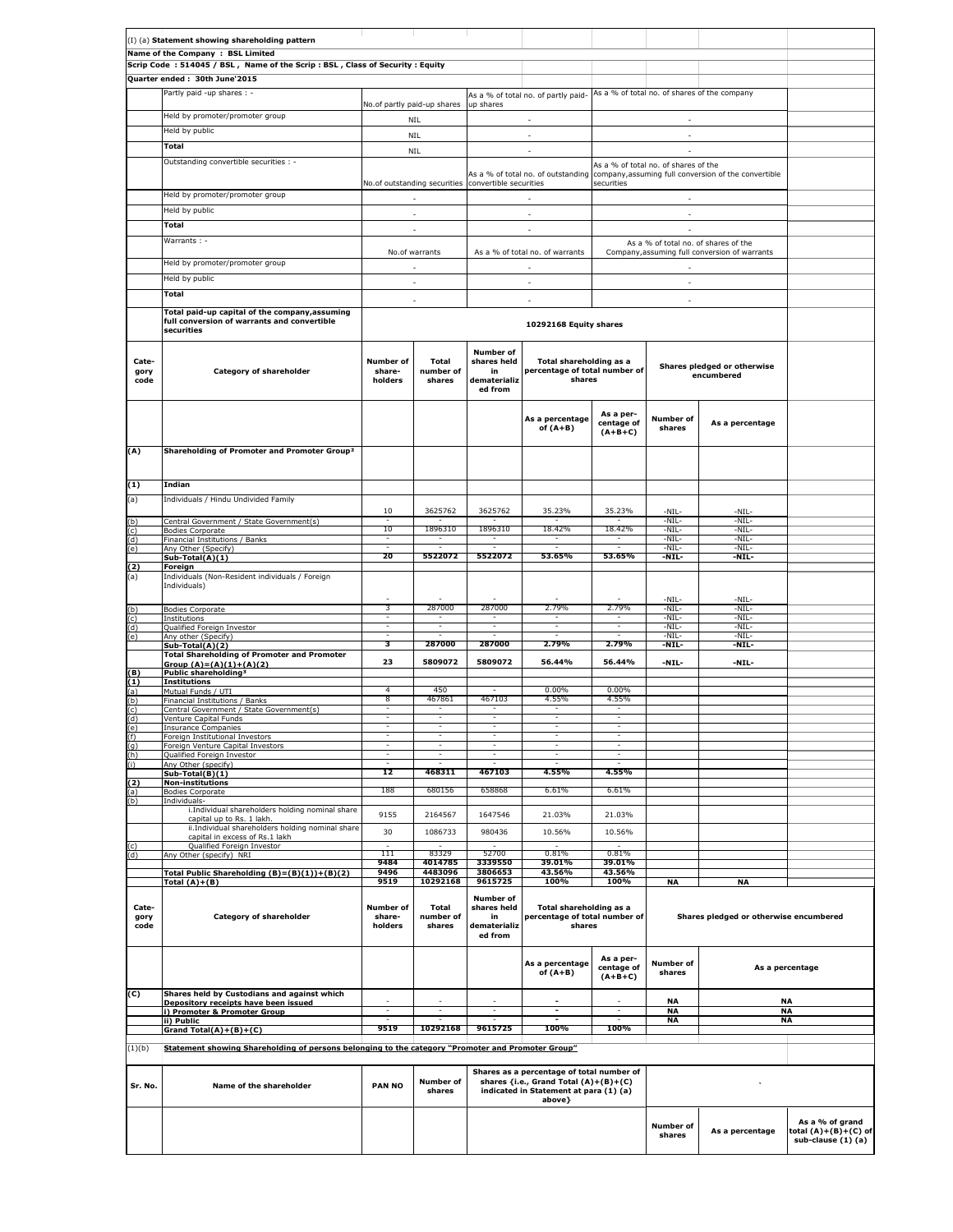|                       | (I) (a) Statement showing shareholding pattern                                                              |                                |                              |                                                                  |                                                                                                                                        |                                      |                                      |                                                                                         |                                                               |
|-----------------------|-------------------------------------------------------------------------------------------------------------|--------------------------------|------------------------------|------------------------------------------------------------------|----------------------------------------------------------------------------------------------------------------------------------------|--------------------------------------|--------------------------------------|-----------------------------------------------------------------------------------------|---------------------------------------------------------------|
|                       | Name of the Company : BSL Limited                                                                           |                                |                              |                                                                  |                                                                                                                                        |                                      |                                      |                                                                                         |                                                               |
|                       | Scrip Code: 514045 / BSL, Name of the Scrip: BSL, Class of Security: Equity                                 |                                |                              |                                                                  |                                                                                                                                        |                                      |                                      |                                                                                         |                                                               |
|                       | Quarter ended: 30th June'2015                                                                               |                                |                              |                                                                  |                                                                                                                                        |                                      |                                      |                                                                                         |                                                               |
|                       | Partly paid -up shares : -                                                                                  |                                |                              |                                                                  | As a % of total no. of partly paid- As a % of total no. of shares of the company                                                       |                                      |                                      |                                                                                         |                                                               |
|                       |                                                                                                             | No.of partly paid-up shares    |                              | up shares                                                        |                                                                                                                                        |                                      |                                      |                                                                                         |                                                               |
|                       | Held by promoter/promoter group                                                                             |                                | NIL                          |                                                                  |                                                                                                                                        |                                      |                                      |                                                                                         |                                                               |
|                       | Held by public                                                                                              |                                | <b>NIL</b>                   |                                                                  | $\sim$                                                                                                                                 |                                      | $\overline{\phantom{a}}$             |                                                                                         |                                                               |
|                       | Total                                                                                                       |                                | <b>NIL</b>                   |                                                                  | ÷.                                                                                                                                     |                                      |                                      |                                                                                         |                                                               |
|                       | Outstanding convertible securities : -                                                                      |                                |                              |                                                                  |                                                                                                                                        |                                      | As a % of total no. of shares of the |                                                                                         |                                                               |
|                       |                                                                                                             |                                |                              |                                                                  |                                                                                                                                        |                                      |                                      | As a % of total no. of outstanding company, assuming full conversion of the convertible |                                                               |
|                       | Held by promoter/promoter group                                                                             |                                |                              | No.of outstanding securities convertible securities              |                                                                                                                                        | securities                           |                                      |                                                                                         |                                                               |
|                       |                                                                                                             |                                |                              |                                                                  |                                                                                                                                        |                                      |                                      |                                                                                         |                                                               |
|                       | Held by public                                                                                              |                                | ×.                           |                                                                  | ×.                                                                                                                                     |                                      | ×.                                   |                                                                                         |                                                               |
|                       | Total                                                                                                       |                                | ×.                           |                                                                  | ÷.                                                                                                                                     |                                      | ×.                                   |                                                                                         |                                                               |
|                       | Warrants: -                                                                                                 |                                | No.of warrants               |                                                                  | As a % of total no. of warrants                                                                                                        |                                      |                                      | As a % of total no. of shares of the<br>Company, assuming full conversion of warrants   |                                                               |
|                       | Held by promoter/promoter group                                                                             |                                | ÷.                           |                                                                  | $\mathcal{L}_{\mathcal{A}}$                                                                                                            |                                      | ÷.                                   |                                                                                         |                                                               |
|                       | Held by public                                                                                              |                                |                              |                                                                  |                                                                                                                                        |                                      |                                      |                                                                                         |                                                               |
|                       | Total                                                                                                       |                                | $\overline{\phantom{a}}$     |                                                                  | $\sim$                                                                                                                                 |                                      | $\overline{\phantom{a}}$             |                                                                                         |                                                               |
|                       |                                                                                                             |                                | ÷                            |                                                                  | ×.                                                                                                                                     |                                      | ÷                                    |                                                                                         |                                                               |
|                       | Total paid-up capital of the company, assuming<br>full conversion of warrants and convertible<br>securities |                                |                              |                                                                  | 10292168 Equity shares                                                                                                                 |                                      |                                      |                                                                                         |                                                               |
|                       |                                                                                                             |                                |                              |                                                                  |                                                                                                                                        |                                      |                                      |                                                                                         |                                                               |
| Cate-<br>gory<br>code | Category of shareholder                                                                                     | Number of<br>share-<br>holders | Total<br>number of<br>shares | <b>Number of</b><br>shares held<br>in<br>dematerializ<br>ed from | Total shareholding as a<br>percentage of total number of<br>shares                                                                     |                                      |                                      | Shares pledged or otherwise<br>encumbered                                               |                                                               |
|                       |                                                                                                             |                                |                              |                                                                  | As a percentage<br>of $(A+B)$                                                                                                          | As a per-<br>centage of<br>$(A+B+C)$ | <b>Number of</b><br>shares           | As a percentage                                                                         |                                                               |
| (A)                   | Shareholding of Promoter and Promoter Group <sup>2</sup>                                                    |                                |                              |                                                                  |                                                                                                                                        |                                      |                                      |                                                                                         |                                                               |
| (1)                   | Indian                                                                                                      |                                |                              |                                                                  |                                                                                                                                        |                                      |                                      |                                                                                         |                                                               |
| (a)                   | Individuals / Hindu Undivided Family                                                                        |                                |                              |                                                                  |                                                                                                                                        |                                      |                                      |                                                                                         |                                                               |
| (b)                   | Central Government / State Government(s)                                                                    | 10                             | 3625762                      | 3625762                                                          | 35.23%                                                                                                                                 | 35.23%                               | $-NIL-$<br>-NIL-                     | -NIL-<br>-NIL-                                                                          |                                                               |
| (c)                   | <b>Bodies Corporate</b>                                                                                     | 10                             | 1896310                      | 1896310                                                          | 18.42%                                                                                                                                 | 18.42%                               | -NIL-                                | $-NIL-$                                                                                 |                                                               |
| (d)<br>(e)            | Financial Institutions / Banks<br>Any Other (Specify)                                                       |                                |                              |                                                                  |                                                                                                                                        |                                      | -NIL-<br>$-NIL-$                     | -NIL-<br>-NIL-                                                                          |                                                               |
|                       | Sub-Total(A)(1)                                                                                             | 20                             | 5522072                      | 5522072                                                          | 53.65%                                                                                                                                 | 53.65%                               | -NIL-                                | -NIL-                                                                                   |                                                               |
| (2)<br>(a)            | Foreign<br>Individuals (Non-Resident individuals / Foreign                                                  |                                |                              |                                                                  |                                                                                                                                        |                                      |                                      |                                                                                         |                                                               |
|                       | Individuals)                                                                                                |                                |                              |                                                                  |                                                                                                                                        |                                      |                                      |                                                                                         |                                                               |
| (b)                   | <b>Bodies Corporate</b>                                                                                     | 3                              | 287000                       | 287000                                                           | 2.79%                                                                                                                                  | 2.79%                                | $-NIL-$<br>-NIL-                     | -NIL-<br>-NIL-                                                                          |                                                               |
| (c)                   | Institutions                                                                                                | Ξ                              | Ξ                            | Ξ                                                                | Ξ                                                                                                                                      | τ                                    | -NIL-                                | -NIL-                                                                                   |                                                               |
| (d)<br>(e)            | Qualified Foreign Investor<br>Any other (Specify)                                                           |                                |                              |                                                                  |                                                                                                                                        |                                      | -NIL-<br>$-NIL-$                     | -NIL-<br>-NIL-                                                                          |                                                               |
|                       | Sub-Total(A)(2)                                                                                             | 3                              | 287000                       | 287000                                                           | 2.79%                                                                                                                                  | 2.79%                                | -NIL-                                | -NIL-                                                                                   |                                                               |
|                       | <b>Total Shareholding of Promoter and Promoter</b><br>Group $(A)=(A)(1)+(A)(2)$                             | 23                             | 5809072                      | 5809072                                                          | 56.44%                                                                                                                                 | 56.44%                               | -NIL-                                | -NIL-                                                                                   |                                                               |
| (B)<br>(1)            | Public shareholding <sup>3</sup><br><b>Institutions</b>                                                     |                                |                              |                                                                  |                                                                                                                                        |                                      |                                      |                                                                                         |                                                               |
| (a)                   | Mutual Funds / UTI                                                                                          | 4                              | 450                          |                                                                  | $0.00\%$                                                                                                                               | $0.00\%$                             |                                      |                                                                                         |                                                               |
| (b)<br>(c)            | Financial Institutions / Banks<br>Central Government / State Government(s)                                  | 8<br>$\overline{\phantom{a}}$  | 467861<br>$\sim$             | 467103<br>$\overline{\phantom{a}}$                               | 4.55%<br>$\sim$                                                                                                                        | 4.55%<br>$\sim$                      |                                      |                                                                                         |                                                               |
| (d)                   | Venture Capital Funds                                                                                       |                                |                              |                                                                  |                                                                                                                                        |                                      |                                      |                                                                                         |                                                               |
| (e)<br>(f)            | <b>Insurance Companies</b><br>Foreign Institutional Investors                                               | $\overline{\phantom{a}}$       | $\overline{\phantom{a}}$     | $\overline{\phantom{a}}$                                         | $\overline{\phantom{a}}$                                                                                                               | $\overline{\phantom{a}}$             |                                      |                                                                                         |                                                               |
| (g)                   | Foreign Venture Capital Investors                                                                           |                                |                              |                                                                  |                                                                                                                                        |                                      |                                      |                                                                                         |                                                               |
| (h)<br>(i)            | Qualified Foreign Investor<br>Any Other (specify)                                                           |                                |                              |                                                                  |                                                                                                                                        |                                      |                                      |                                                                                         |                                                               |
|                       | Sub-Total(B)(1)                                                                                             | 12                             | 468311                       | 467103                                                           | 4.55%                                                                                                                                  | 4.55%                                |                                      |                                                                                         |                                                               |
| (2)<br>(a)            | <b>Non-institutions</b><br><b>Bodies Corporate</b>                                                          | 188                            | 680156                       | 658868                                                           | 6.61%                                                                                                                                  | 6.61%                                |                                      |                                                                                         |                                                               |
| (b)                   | Individuals-                                                                                                |                                |                              |                                                                  |                                                                                                                                        |                                      |                                      |                                                                                         |                                                               |
|                       | i.Individual shareholders holding nominal share<br>capital up to Rs. 1 lakh.                                | 9155                           | 2164567                      | 1647546                                                          | 21.03%                                                                                                                                 | 21.03%                               |                                      |                                                                                         |                                                               |
|                       | ii. Individual shareholders holding nominal share                                                           | 30                             | 1086733                      | 980436                                                           | 10.56%                                                                                                                                 | 10.56%                               |                                      |                                                                                         |                                                               |
| (c)                   | capital in excess of Rs.1 lakh<br>Qualified Foreign Investor                                                |                                |                              |                                                                  |                                                                                                                                        |                                      |                                      |                                                                                         |                                                               |
| (d)                   | Any Other (specify) NRI                                                                                     | 111<br>9484                    | 83329<br>4014785             | 52700<br>3339550                                                 | 0.81%<br>39.01%                                                                                                                        | 0.81%<br>39.01%                      |                                      |                                                                                         |                                                               |
|                       | Total Public Shareholding (B)=(B)(1))+(B)(2)                                                                | 9496                           | 4483096                      | 3806653                                                          | 43.56%                                                                                                                                 | 43.56%                               |                                      |                                                                                         |                                                               |
|                       | Total $(A)+(B)$                                                                                             | 9519                           | 10292168                     | 9615725                                                          | 100%                                                                                                                                   | 100%                                 | <b>NA</b>                            | <b>NA</b>                                                                               |                                                               |
| Cate-<br>gory<br>code | Category of shareholder                                                                                     | Number of<br>share-<br>holders | Total<br>number of<br>shares | <b>Number of</b><br>shares held<br>in<br>dematerializ<br>ed from | Total shareholding as a<br>percentage of total number of<br>shares                                                                     |                                      |                                      | Shares pledged or otherwise encumbered                                                  |                                                               |
|                       |                                                                                                             |                                |                              |                                                                  | As a percentage<br>of $(A+B)$                                                                                                          | As a per-<br>centage of<br>$(A+B+C)$ | <b>Number of</b><br>shares           |                                                                                         | As a percentage                                               |
| (C)                   | Shares held by Custodians and against which<br>Depository receipts have been issued                         |                                |                              |                                                                  |                                                                                                                                        |                                      | <b>NA</b>                            |                                                                                         | NA                                                            |
|                       | i) Promoter & Promoter Group<br>ii) Public                                                                  | ٠                              |                              |                                                                  | $\sim$                                                                                                                                 |                                      | <b>NA</b><br><b>NA</b>               |                                                                                         | <b>NA</b><br><b>NA</b>                                        |
|                       | Grand Total(A)+(B)+(C)                                                                                      | 9519                           | 10292168                     | 9615725                                                          | 100%                                                                                                                                   | 100%                                 |                                      |                                                                                         |                                                               |
| (1)(b)                | Statement showing Shareholding of persons belonging to the category "Promoter and Promoter Group"           |                                |                              |                                                                  |                                                                                                                                        |                                      |                                      |                                                                                         |                                                               |
| Sr. No.               | Name of the shareholder                                                                                     | <b>PAN NO</b>                  | <b>Number of</b><br>shares   |                                                                  | Shares as a percentage of total number of<br>shares {i.e., Grand Total (A)+(B)+(C)<br>indicated in Statement at para (1) (a)<br>above} |                                      |                                      |                                                                                         |                                                               |
|                       |                                                                                                             |                                |                              |                                                                  |                                                                                                                                        |                                      | Number of<br>shares                  | As a percentage                                                                         | As a % of grand<br>total (A)+(B)+(C) of<br>sub-clause (1) (a) |